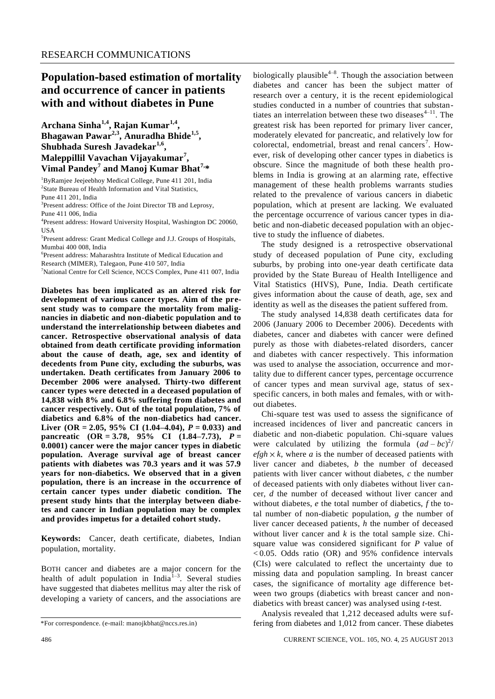## **Population-based estimation of mortality and occurrence of cancer in patients with and without diabetes in Pune**

**Archana Sinha1,4, Rajan Kumar1,4 , Bhagawan Pawar2,3 , Anuradha Bhide1,5 , Shubhada Suresh Javadekar1,6 , Maleppillil Vavachan Vijayakumar<sup>7</sup> , Vimal Pandey<sup>7</sup> and Manoj Kumar Bhat7,\***

<sup>1</sup>ByRamjee Jeejeebhoy Medical College, Pune 411 201, India 2 State Bureau of Health Information and Vital Statistics, Pune 411 201, India

<sup>3</sup>Present address: Office of the Joint Director TB and Leprosy,

Pune 411 006, India

<sup>4</sup>Present address: Howard University Hospital, Washington DC 20060, USA

5 Present address: Grant Medical College and J.J. Groups of Hospitals, Mumbai 400 008, India

6 Present address: Maharashtra Institute of Medical Education and

Research (MIMER), Talegaon, Pune 410 507, India

<sup>7</sup>National Centre for Cell Science, NCCS Complex, Pune 411 007, India

**Diabetes has been implicated as an altered risk for development of various cancer types. Aim of the present study was to compare the mortality from malignancies in diabetic and non-diabetic population and to understand the interrelationship between diabetes and cancer. Retrospective observational analysis of data obtained from death certificate providing information about the cause of death, age, sex and identity of decedents from Pune city, excluding the suburbs, was undertaken. Death certificates from January 2006 to December 2006 were analysed. Thirty-two different cancer types were detected in a deceased population of 14,838 with 8% and 6.8% suffering from diabetes and cancer respectively. Out of the total population, 7% of diabetics and 6.8% of the non-diabetics had cancer. Liver (OR = 2.05, 95% CI (1.04–4.04),** *P* **= 0.033) and pancreatic (OR = 3.78, 95% CI (1.84–7.73),** *P* **= 0.0001) cancer were the major cancer types in diabetic population. Average survival age of breast cancer patients with diabetes was 70.3 years and it was 57.9 years for non-diabetics. We observed that in a given population, there is an increase in the occurrence of certain cancer types under diabetic condition. The present study hints that the interplay between diabetes and cancer in Indian population may be complex and provides impetus for a detailed cohort study.**

**Keywords:** Cancer, death certificate, diabetes, Indian population, mortality.

BOTH cancer and diabetes are a major concern for the health of adult population in India<sup>1-3</sup>. Several studies have suggested that diabetes mellitus may alter the risk of developing a variety of cancers, and the associations are

biologically plausible<sup>4-8</sup>. Though the association between diabetes and cancer has been the subject matter of research over a century, it is the recent epidemiological studies conducted in a number of countries that substantiates an interrelation between these two diseases $4-11$ . The greatest risk has been reported for primary liver cancer, moderately elevated for pancreatic, and relatively low for colorectal, endometrial, breast and renal cancers<sup>7</sup>. However, risk of developing other cancer types in diabetics is obscure. Since the magnitude of both these health problems in India is growing at an alarming rate, effective management of these health problems warrants studies related to the prevalence of various cancers in diabetic population, which at present are lacking. We evaluated the percentage occurrence of various cancer types in diabetic and non-diabetic deceased population with an objective to study the influence of diabetes. The study designed is a retrospective observational

study of deceased population of Pune city, excluding suburbs, by probing into one-year death certificate data provided by the State Bureau of Health Intelligence and Vital Statistics (HIVS), Pune, India. Death certificate gives information about the cause of death, age, sex and identity as well as the diseases the patient suffered from.

The study analysed 14,838 death certificates data for 2006 (January 2006 to December 2006). Decedents with diabetes, cancer and diabetes with cancer were defined purely as those with diabetes-related disorders, cancer and diabetes with cancer respectively. This information was used to analyse the association, occurrence and mortality due to different cancer types, percentage occurrence of cancer types and mean survival age, status of sexspecific cancers, in both males and females, with or without diabetes.

Chi-square test was used to assess the significance of increased incidences of liver and pancreatic cancers in diabetic and non-diabetic population. Chi-square values were calculated by utilizing the formula  $(ad-bc)^2$  $efgh \times k$ , where *a* is the number of deceased patients with liver cancer and diabetes, *b* the number of deceased patients with liver cancer without diabetes, *c* the number of deceased patients with only diabetes without liver cancer, *d* the number of deceased without liver cancer and without diabetes, *e* the total number of diabetics, *f* the total number of non-diabetic population, *g* the number of liver cancer deceased patients, *h* the number of deceased without liver cancer and *k* is the total sample size. Chisquare value was considered significant for *P* value of  $< 0.05$ . Odds ratio (OR) and 95% confidence intervals (CIs) were calculated to reflect the uncertainty due to missing data and population sampling. In breast cancer cases, the significance of mortality age difference between two groups (diabetics with breast cancer and nondiabetics with breast cancer) was analysed using *t*-test.

Analysis revealed that 1,212 deceased adults were suffering from diabetes and 1,012 from cancer. These diabetes

<sup>\*</sup>For correspondence. (e-mail: [manojkbhat@nccs.res.in\)](mailto:manojkbhat@nccs.res.in)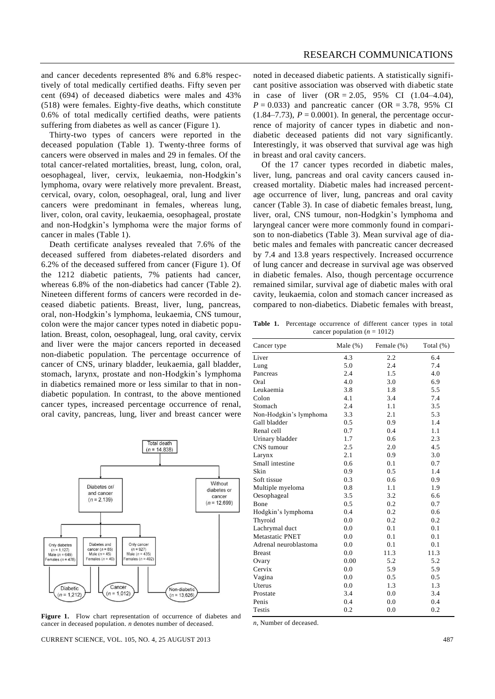and cancer decedents represented 8% and 6.8% respectively of total medically certified deaths. Fifty seven per cent (694) of deceased diabetics were males and 43% (518) were females. Eighty-five deaths, which constitute 0.6% of total medically certified deaths, were patients suffering from diabetes as well as cancer (Figure 1).

Thirty-two types of cancers were reported in the deceased population (Table 1). Twenty-three forms of cancers were observed in males and 29 in females. Of the total cancer-related mortalities, breast, lung, colon, oral, oesophageal, liver, cervix, leukaemia, non-Hodgkin's lymphoma, ovary were relatively more prevalent. Breast, cervical, ovary, colon, oesophageal, oral, lung and liver cancers were predominant in females, whereas lung, liver, colon, oral cavity, leukaemia, oesophageal, prostate and non-Hodgkin's lymphoma were the major forms of cancer in males (Table 1).

Death certificate analyses revealed that 7.6% of the deceased suffered from diabetes-related disorders and 6.2% of the deceased suffered from cancer (Figure 1). Of the 1212 diabetic patients, 7% patients had cancer, whereas 6.8% of the non-diabetics had cancer (Table 2). Nineteen different forms of cancers were recorded in deceased diabetic patients. Breast, liver, lung, pancreas, oral, non-Hodgkin's lymphoma, leukaemia, CNS tumour, colon were the major cancer types noted in diabetic population. Breast, colon, oesophageal, lung, oral cavity, cervix and liver were the major cancers reported in deceased non-diabetic population. The percentage occurrence of cancer of CNS, urinary bladder, leukaemia, gall bladder, stomach, larynx, prostate and non-Hodgkin's lymphoma in diabetics remained more or less similar to that in nondiabetic population. In contrast, to the above mentioned cancer types, increased percentage occurrence of renal, oral cavity, pancreas, lung, liver and breast cancer were



Figure 1. Flow chart representation of occurrence of diabetes and cancer in deceased population. *n* denotes number of deceased.

CURRENT SCIENCE, VOL. 105, NO. 4, 25 AUGUST 2013 487

noted in deceased diabetic patients. A statistically significant positive association was observed with diabetic state in case of liver  $(OR = 2.05, 95\% \text{ CI} (1.04-4.04),$  $P = 0.033$ ) and pancreatic cancer (OR = 3.78, 95% CI  $(1.84 - 7.73)$ ,  $P = 0.0001$ ). In general, the percentage occurrence of majority of cancer types in diabetic and nondiabetic deceased patients did not vary significantly. Interestingly, it was observed that survival age was high in breast and oral cavity cancers.

Of the 17 cancer types recorded in diabetic males, liver, lung, pancreas and oral cavity cancers caused increased mortality. Diabetic males had increased percentage occurrence of liver, lung, pancreas and oral cavity cancer (Table 3). In case of diabetic females breast, lung, liver, oral, CNS tumour, non-Hodgkin's lymphoma and laryngeal cancer were more commonly found in comparison to non-diabetics (Table 3). Mean survival age of diabetic males and females with pancreatic cancer decreased by 7.4 and 13.8 years respectively. Increased occurrence of lung cancer and decrease in survival age was observed in diabetic females. Also, though percentage occurrence remained similar, survival age of diabetic males with oral cavity, leukaemia, colon and stomach cancer increased as compared to non-diabetics. Diabetic females with breast,

**Table 1.** Percentage occurrence of different cancer types in total cancer population  $(n = 1012)$ 

| Cancer type            | Male $(\%)$ | Female (%) | Total (%) |
|------------------------|-------------|------------|-----------|
| Liver                  | 4.3         | 2.2        | 6.4       |
| Lung                   | 5.0         | 2.4        | 7.4       |
| Pancreas               | 2.4         | 1.5        | 4.0       |
| Oral                   | 4.0         | 3.0        | 6.9       |
| Leukaemia              | 3.8         | 1.8        | 5.5       |
| Colon                  | 4.1         | 3.4        | 7.4       |
| Stomach                | 2.4         | 1.1        | 3.5       |
| Non-Hodgkin's lymphoma | 3.3         | 2.1        | 5.3       |
| Gall bladder           | 0.5         | 0.9        | 1.4       |
| Renal cell             | 0.7         | 0.4        | 1.1       |
| Urinary bladder        | 1.7         | 0.6        | 2.3       |
| CNS tumour             | 2.5         | 2.0        | 4.5       |
| Larynx                 | 2.1         | 0.9        | 3.0       |
| Small intestine        | 0.6         | 0.1        | 0.7       |
| Skin                   | 0.9         | 0.5        | 1.4       |
| Soft tissue            | 0.3         | 0.6        | 0.9       |
| Multiple myeloma       | 0.8         | 1.1        | 1.9       |
| Oesophageal            | 3.5         | 3.2        | 6.6       |
| Bone                   | 0.5         | 0.2        | 0.7       |
| Hodgkin's lymphoma     | 0.4         | 0.2        | 0.6       |
| Thyroid                | 0.0         | 0.2        | 0.2       |
| Lachrymal duct         | 0.0         | 0.1        | 0.1       |
| Metastatic PNET        | 0.0         | 0.1        | 0.1       |
| Adrenal neuroblastoma  | 0.0         | 0.1        | 0.1       |
| <b>Breast</b>          | 0.0         | 11.3       | 11.3      |
| Ovary                  | 0.00        | 5.2        | 5.2       |
| Cervix                 | 0.0         | 5.9        | 5.9       |
| Vagina                 | 0.0         | 0.5        | 0.5       |
| Uterus                 | 0.0         | 1.3        | 1.3       |
| Prostate               | 3.4         | 0.0        | 3.4       |
| Penis                  | 0.4         | 0.0        | 0.4       |
| Testis                 | 0.2         | 0.0        | 0.2       |

*n*, Number of deceased.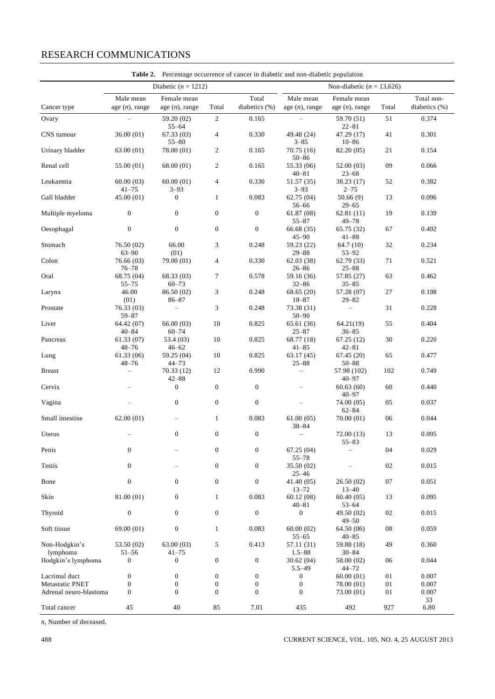## RESEARCH COMMUNICATIONS

|                           |                                | Table 2. Percentage occurrence of cancer in diabetic and non-diabetic population |                  |                        |                                |                                      |       |                             |
|---------------------------|--------------------------------|----------------------------------------------------------------------------------|------------------|------------------------|--------------------------------|--------------------------------------|-------|-----------------------------|
|                           |                                | Diabetic ( $n = 1212$ )<br>Non-diabetic ( $n = 13,626$ )                         |                  |                        |                                |                                      |       |                             |
| Cancer type               | Male mean<br>age $(n)$ , range | Female mean<br>age $(n)$ , range                                                 | Total            | Total<br>diabetics (%) | Male mean<br>age $(n)$ , range | Female mean<br>age $(n)$ , range     | Total | Total non-<br>diabetics (%) |
| Ovary                     |                                | 59.20 (02)                                                                       | $\overline{c}$   | 0.165                  |                                | 59.70 (51)                           | 51    | 0.374                       |
| CNS tumour                | 36.00(01)                      | $55 - 64$<br>67.33(03)<br>$55 - 80$                                              | 4                | 0.330                  | 49.48 (24)<br>$3 - 85$         | $22 - 81$<br>47.29 (17)<br>$10 - 86$ | 41    | 0.301                       |
| Urinary bladder           | 63.00(01)                      | 78.00 (01)                                                                       | $\overline{c}$   | 0.165                  | 70.75(16)<br>$50 - 86$         | 82.20 (05)                           | 21    | 0.154                       |
| Renal cell                | 55.00 (01)                     | 68.00 (01)                                                                       | $\overline{c}$   | 0.165                  | 55.33 (06)<br>$40 - 81$        | 52.00 (03)<br>$23 - 68$              | 09    | 0.066                       |
| Leukaemia                 | 60.00(03)<br>$41 - 75$         | 60.00(01)<br>$3 - 93$                                                            | $\overline{4}$   | 0.330                  | 51.57 (35)<br>$3 - 93$         | 38.23 (17)<br>$2 - 75$               | 52    | 0.382                       |
| Gall bladder              | 45.00 (01)                     | $\mathbf{0}$                                                                     | $\mathbf{1}$     | 0.083                  | 62.75(04)<br>56-66             | 50.66(9)<br>$29 - 65$                | 13    | 0.096                       |
| Multiple myeloma          | $\boldsymbol{0}$               | $\boldsymbol{0}$                                                                 | $\boldsymbol{0}$ | $\boldsymbol{0}$       | 61.87(08)<br>$55 - 87$         | 62.81(11)<br>$49 - 78$               | 19    | 0.139                       |
| Oesophagal                | $\boldsymbol{0}$               | $\boldsymbol{0}$                                                                 | $\boldsymbol{0}$ | $\boldsymbol{0}$       | 66.68 (35)<br>$45 - 90$        | 65.75 (32)<br>$41 - 88$              | 67    | 0.492                       |
| Stomach                   | 76.50 (02)<br>$63 - 90$        | 66.00<br>(01)                                                                    | 3                | 0.248                  | 59.23 (22)<br>$29 - 88$        | 64.7(10)<br>$53 - 92$                | 32    | 0.234                       |
| Colon                     | 76.66 (03)<br>$76 - 78$        | 79.00 (01)                                                                       | 4                | 0.330                  | 62.03(38)<br>$26 - 86$         | 62.79(33)<br>$25 - 88$               | 71    | 0.521                       |
| Oral                      | 68.75 (04)<br>$55 - 75$        | 68.33 (03)<br>$60 - 73$                                                          | 7                | 0.578                  | 59.16 (36)<br>$32 - 86$        | 57.85 (27)<br>$35 - 85$              | 63    | 0.462                       |
| Larynx                    | 46.00<br>(01)                  | 86.50 (02)<br>$86 - 87$                                                          | 3                | 0.248                  | 68.65(20)<br>$18 - 87$         | 57.28 (07)<br>$29 - 82$              | 27    | 0.198                       |
| Prostate                  | 76.33 (03)<br>$59 - 87$        | $\qquad \qquad -$                                                                | 3                | 0.248                  | 73.38 (31)<br>$50 - 90$        | $\overline{\phantom{0}}$             | 31    | 0.228                       |
| Liver                     | 64.42 (07)<br>$40 - 84$        | 66.00(03)<br>$60 - 74$                                                           | 10               | 0.825                  | 65.61 (36)<br>$25 - 87$        | 64.21(19)<br>$36 - 85$               | 55    | 0.404                       |
| Pancreas                  | 61.33 (07)<br>$48 - 76$        | 53.4 (03)<br>$46 - 62$                                                           | $10\,$           | 0.825                  | 68.77 (18)<br>$41 - 85$        | 67.25 (12)<br>$42 - 81$              | 30    | 0.220                       |
| Lung                      | 61.33(06)<br>$48 - 76$         | 59.25 (04)<br>$44 - 73$                                                          | 10               | 0.825                  | 63.17(45)<br>$25 - 88$         | 67.45(20)<br>$50 - 88$               | 65    | 0.477                       |
| <b>Breast</b>             | $\overline{\phantom{0}}$       | 70.33 (12)<br>$42 - 88$                                                          | 12               | 0.990                  | $\overline{\phantom{0}}$       | 57.98 (102)<br>$40 - 97$             | 102   | 0.749                       |
| Cervix                    |                                | $\boldsymbol{0}$                                                                 | $\boldsymbol{0}$ | $\boldsymbol{0}$       | $\overline{\phantom{0}}$       | 60.63(60)<br>$40 - 97$               | 60    | 0.440                       |
| Vagina                    |                                | $\boldsymbol{0}$                                                                 | $\boldsymbol{0}$ | $\boldsymbol{0}$       | $\overline{\phantom{0}}$       | 74.00 (05)<br>$62 - 84$              | 05    | 0.037                       |
| Small intestine           | 62.00(01)                      |                                                                                  | $\mathbf{1}$     | 0.083                  | 61.00(05)<br>$38 - 84$         | 70.00(01)                            | 06    | 0.044                       |
| Uterus                    |                                | $\boldsymbol{0}$                                                                 | $\boldsymbol{0}$ | $\boldsymbol{0}$       | $\overline{\phantom{0}}$       | 72.00(13)<br>$55 - 83$               | 13    | 0.095                       |
| Penis                     | $\boldsymbol{0}$               |                                                                                  | $\boldsymbol{0}$ | $\boldsymbol{0}$       | 67.25(04)<br>$55 - 78$         |                                      | 04    | 0.029                       |
| <b>Testis</b>             | $\boldsymbol{0}$               |                                                                                  | $\boldsymbol{0}$ | $\boldsymbol{0}$       | 35.50(02)<br>$25 - 46$         |                                      | 02    | 0.015                       |
| Bone                      | $\boldsymbol{0}$               | $\Omega$                                                                         | $\overline{0}$   | $\overline{0}$         | 41.40 (05)<br>$13 - 72$        | 26.50 (02)<br>$13 - 40$              | 07    | 0.051                       |
| Skin                      | 81.00 (01)                     | $\boldsymbol{0}$                                                                 | $\mathbf{1}$     | 0.083                  | 60.12(08)<br>$40 - 81$         | 60.40(05)<br>$53 - 64$               | 13    | 0.095                       |
| Thyroid                   | $\boldsymbol{0}$               | $\boldsymbol{0}$                                                                 | $\boldsymbol{0}$ | $\boldsymbol{0}$       | 0                              | 49.50 (02)<br>$49 - 50$              | 02    | 0.015                       |
| Soft tissue               | 69.00(01)                      | $\boldsymbol{0}$                                                                 | $\mathbf{1}$     | 0.083                  | 60.00(02)<br>$55 - 65$         | 64.50 (06)<br>$40 - 85$              | 08    | 0.059                       |
| Non-Hodgkin's<br>lymphoma | 53.50 (02)<br>$51 - 56$        | 63.00 (03)<br>$41 - 75$                                                          | 5                | 0.413                  | 57.11(31)<br>$1.5 - 88$        | 59.88 (18)<br>$30 - 84$              | 49    | 0.360                       |
| Hodgkin's lymphoma        | $\boldsymbol{0}$               | $\boldsymbol{0}$                                                                 | $\boldsymbol{0}$ | $\boldsymbol{0}$       | 30.62(04)<br>$5.5 - 49$        | 58.00 (02)<br>$44 - 72$              | 06    | 0.044                       |
| Lacrimal duct             | $\boldsymbol{0}$               | $\boldsymbol{0}$                                                                 | $\boldsymbol{0}$ | $\boldsymbol{0}$       | 0                              | 60.00(01)                            | 01    | 0.007                       |
| Metastatic PNET           | $\boldsymbol{0}$               | $\boldsymbol{0}$                                                                 | $\boldsymbol{0}$ | $\boldsymbol{0}$       | $\boldsymbol{0}$               | 78.00 (01)                           | 01    | 0.007                       |
| Adrenal neuro-blastoma    | $\boldsymbol{0}$               | $\mathbf{0}$                                                                     | $\mathbf{0}$     | $\overline{0}$         | $\overline{0}$                 | 73.00 (01)                           | 01    | 0.007<br>33                 |
| Total cancer              | 45                             | 40                                                                               | 85               | 7.01                   | 435                            | 492                                  | 927   | 6.80                        |

*n*, Number of deceased.

488 CURRENT SCIENCE, VOL. 105, NO. 4, 25 AUGUST 2013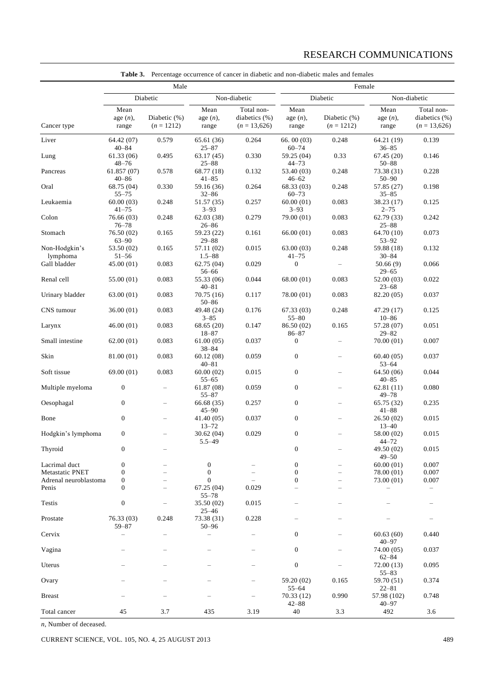|                                          | Male                                  |                              |                                       |                                               | Female                               |                              |                                      |                                               |
|------------------------------------------|---------------------------------------|------------------------------|---------------------------------------|-----------------------------------------------|--------------------------------------|------------------------------|--------------------------------------|-----------------------------------------------|
|                                          | Diabetic                              |                              | Non-diabetic                          |                                               | Diabetic                             |                              | Non-diabetic                         |                                               |
| Cancer type                              | Mean<br>age $(n)$ ,<br>range          | Diabetic (%)<br>$(n = 1212)$ | Mean<br>age $(n)$ ,<br>range          | Total non-<br>diabetics (%)<br>$(n = 13,626)$ | Mean<br>age $(n)$ ,<br>range         | Diabetic (%)<br>$(n = 1212)$ | Mean<br>age(n),<br>range             | Total non-<br>diabetics (%)<br>$(n = 13,626)$ |
| Liver                                    | 64.42 (07)                            | 0.579                        | 65.61 (36)                            | 0.264                                         | 66.00(03)                            | 0.248                        | 64.21 (19)                           | 0.139                                         |
| Lung                                     | $40 - 84$<br>61.33 (06)               | 0.495                        | $25 - 87$<br>63.17(45)                | 0.330                                         | $60 - 74$<br>59.25 (04)              | 0.33                         | $36 - 85$<br>67.45(20)               | 0.146                                         |
| Pancreas                                 | $48 - 76$<br>61.857(07)               | 0.578                        | $25 - 88$<br>68.77 (18)               | 0.132                                         | $44 - 73$<br>53.40 (03)              | 0.248                        | $50 - 88$<br>73.38 (31)              | 0.228                                         |
| Oral                                     | $40 - 86$<br>68.75 (04)               | 0.330                        | $41 - 85$<br>59.16 (36)               | 0.264                                         | $46 - 62$<br>68.33 (03)              | 0.248                        | $50 - 90$<br>57.85 (27)              | 0.198                                         |
| Leukaemia                                | $55 - 75$<br>60.00(03)                | 0.248                        | $32 - 86$<br>51.57 (35)               | 0.257                                         | $60 - 73$<br>60.00(01)               | 0.083                        | $35 - 85$<br>38.23 (17)              | 0.125                                         |
| Colon                                    | $41 - 75$<br>76.66 (03)               | 0.248                        | $3 - 93$<br>62.03(38)                 | 0.279                                         | $3 - 93$<br>79.00 (01)               | 0.083                        | $2 - 75$<br>62.79(33)                | 0.242                                         |
| Stomach                                  | $76 - 78$<br>76.50 (02)<br>$63 - 90$  | 0.165                        | $26 - 86$<br>59.23 (22)<br>$29 - 88$  | 0.161                                         | 66.00(01)                            | 0.083                        | $25 - 88$<br>64.70 (10)<br>$53 - 92$ | 0.073                                         |
| Non-Hodgkin's<br>lymphoma                | 53.50 (02)<br>$51 - 56$               | 0.165                        | 57.11 (02)<br>$1.5 - 88$              | 0.015                                         | 63.00(03)<br>$41 - 75$               | 0.248                        | 59.88 (18)<br>$30 - 84$              | 0.132                                         |
| Gall bladder                             | 45.00 (01)                            | 0.083                        | 62.75 (04)<br>$56 - 66$               | 0.029                                         | $\boldsymbol{0}$                     |                              | 50.66(9)<br>$29 - 65$                | 0.066                                         |
| Renal cell                               | 55.00 (01)                            | 0.083                        | 55.33 (06)<br>$40 - 81$               | 0.044                                         | 68.00(01)                            | 0.083                        | 52.00 (03)<br>$23 - 68$              | 0.022                                         |
| Urinary bladder                          | 63.00(01)                             | 0.083                        | 70.75(16)<br>$50 - 86$                | 0.117                                         | 78.00 (01)                           | 0.083                        | 82.20 (05)                           | 0.037                                         |
| CNS tumour                               | 36.00(01)                             | 0.083                        | 49.48 (24)<br>$3 - 85$                | 0.176                                         | 67.33(03)<br>$55 - 80$               | 0.248                        | 47.29 (17)<br>$10 - 86$              | 0.125                                         |
| Larynx                                   | 46.00(01)                             | 0.083                        | 68.65(20)<br>$18 - 87$                | 0.147                                         | 86.50 (02)<br>$86 - 87$              | 0.165                        | 57.28 (07)<br>$29 - 82$              | 0.051                                         |
| Small intestine                          | 62.00(01)                             | 0.083                        | 61.00(05)<br>$38 - 84$                | 0.037                                         | 0                                    |                              | 70.00 (01)                           | 0.007                                         |
| Skin                                     | 81.00 (01)                            | 0.083                        | 60.12(08)<br>$40 - 81$                | 0.059                                         | $\boldsymbol{0}$                     | $\overline{\phantom{0}}$     | 60.40(05)<br>$53 - 64$               | 0.037                                         |
| Soft tissue                              | 69.00 (01)                            | 0.083                        | 60.00(02)<br>$55 - 65$                | 0.015                                         | $\boldsymbol{0}$                     | $\overline{\phantom{0}}$     | 64.50 (06)<br>$40 - 85$              | 0.044                                         |
| Multiple myeloma                         | $\boldsymbol{0}$                      | $\qquad \qquad -$            | 61.87(08)<br>$55 - 87$                | 0.059                                         | $\boldsymbol{0}$                     | $\overline{\phantom{0}}$     | 62.81(11)<br>$49 - 78$               | 0.080                                         |
| Oesophagal                               | $\mathbf{0}$                          | $\overline{\phantom{0}}$     | 66.68(35)<br>$45 - 90$                | 0.257                                         | $\boldsymbol{0}$                     |                              | 65.75 (32)<br>$41 - 88$              | 0.235                                         |
| Bone                                     | $\boldsymbol{0}$                      | $\overline{\phantom{0}}$     | 41.40 (05)<br>$13 - 72$               | 0.037                                         | $\boldsymbol{0}$                     | $\overline{\phantom{0}}$     | 26.50(02)<br>$13 - 40$               | 0.015                                         |
| Hodgkin's lymphoma                       | $\mathbf{0}$                          |                              | 30.62(04)<br>$5.5 - 49$               | 0.029                                         | $\boldsymbol{0}$                     |                              | 58.00 (02)<br>$44 - 72$              | 0.015                                         |
| Thyroid                                  | 0                                     |                              |                                       |                                               | $\boldsymbol{0}$                     |                              | 49.50 (02)<br>$49 - 50$              | 0.015                                         |
| Lacrimal duct                            | $\mathbf{0}$                          |                              | $\boldsymbol{0}$                      |                                               | $\boldsymbol{0}$                     |                              | 60.00(01)                            | 0.007                                         |
| Metastatic PNET<br>Adrenal neuroblastoma | $\mathbf{0}$<br>0                     |                              | $\boldsymbol{0}$<br>$\boldsymbol{0}$  |                                               | $\boldsymbol{0}$<br>$\boldsymbol{0}$ | $\overline{\phantom{0}}$     | 78.00 (01)<br>73.00 (01)             | 0.007<br>0.007                                |
| Penis                                    | $\mathbf{0}$                          |                              | 67.25 (04)                            | 0.029                                         |                                      |                              |                                      | $\qquad \qquad -$                             |
| <b>Testis</b>                            | $\boldsymbol{0}$                      | —                            | $55 - 78$<br>35.50 (02)               | 0.015                                         |                                      |                              |                                      |                                               |
| Prostate                                 | 76.33 (03)                            | 0.248                        | $25 - 46$<br>73.38 (31)               | 0.228                                         |                                      |                              |                                      |                                               |
| Cervix                                   | $59 - 87$<br>$\overline{\phantom{0}}$ | -                            | $50 - 96$<br>$\overline{\phantom{0}}$ | $\qquad \qquad -$                             | 0                                    |                              | 60.63(60)                            | 0.440                                         |
| Vagina                                   |                                       |                              | —                                     |                                               | $\boldsymbol{0}$                     |                              | $40 - 97$<br>74.00 (05)              | 0.037                                         |
| Uterus                                   |                                       |                              |                                       |                                               | $\boldsymbol{0}$                     |                              | $62 - 84$<br>72.00(13)               | 0.095                                         |
| Ovary                                    |                                       |                              |                                       |                                               | 59.20 (02)                           | 0.165                        | $55 - 83$<br>59.70 (51)              | 0.374                                         |
| <b>Breast</b>                            |                                       |                              |                                       | -                                             | $55 - 64$<br>70.33(12)               | 0.990                        | $22 - 81$<br>57.98 (102)             | 0.748                                         |
| Total cancer                             | 45                                    | 3.7                          | 435                                   | 3.19                                          | $42 - 88$<br>40                      | 3.3                          | $40 - 97$<br>492                     | 3.6                                           |

**Table 3.** Percentage occurrence of cancer in diabetic and non-diabetic males and females

*n*, Number of deceased.

CURRENT SCIENCE, VOL. 105, NO. 4, 25 AUGUST 2013 489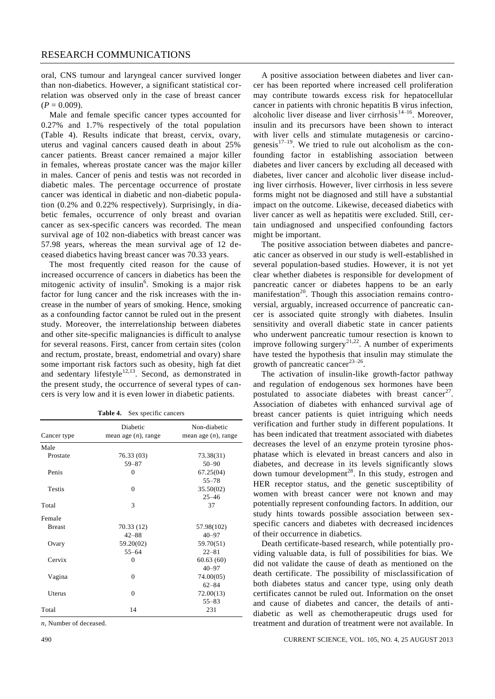## RESEARCH COMMUNICATIONS

oral, CNS tumour and laryngeal cancer survived longer than non-diabetics. However, a significant statistical correlation was observed only in the case of breast cancer  $(P = 0.009)$ .

Male and female specific cancer types accounted for 0.27% and 1.7% respectively of the total population (Table 4). Results indicate that breast, cervix, ovary, uterus and vaginal cancers caused death in about 25% cancer patients. Breast cancer remained a major killer in females, whereas prostate cancer was the major killer in males. Cancer of penis and testis was not recorded in diabetic males. The percentage occurrence of prostate cancer was identical in diabetic and non-diabetic population (0.2% and 0.22% respectively). Surprisingly, in diabetic females, occurrence of only breast and ovarian cancer as sex-specific cancers was recorded. The mean survival age of 102 non-diabetics with breast cancer was 57.98 years, whereas the mean survival age of 12 deceased diabetics having breast cancer was 70.33 years.

The most frequently cited reason for the cause of increased occurrence of cancers in diabetics has been the mitogenic activity of insulin<sup>6</sup>. Smoking is a major risk factor for lung cancer and the risk increases with the increase in the number of years of smoking. Hence, smoking as a confounding factor cannot be ruled out in the present study. Moreover, the interrelationship between diabetes and other site-specific malignancies is difficult to analyse for several reasons. First, cancer from certain sites (colon and rectum, prostate, breast, endometrial and ovary) share some important risk factors such as obesity, high fat diet and sedentary lifestyle $12,13$ . Second, as demonstrated in the present study, the occurrence of several types of cancers is very low and it is even lower in diabetic patients.

| <b>Table 4.</b> Sex specific cancers |  |  |  |
|--------------------------------------|--|--|--|
|--------------------------------------|--|--|--|

|               | Diabetic               | Non-diabetic           |
|---------------|------------------------|------------------------|
| Cancer type   | mean age $(n)$ , range | mean age $(n)$ , range |
| Male          |                        |                        |
| Prostate      | 76.33 (03)             | 73.38(31)              |
|               | $59 - 87$              | $50 - 90$              |
| Penis         | $\theta$               | 67.25(04)              |
|               |                        | $55 - 78$              |
| <b>Testis</b> | $\theta$               | 35.50(02)              |
|               |                        | $25 - 46$              |
| Total         | 3                      | 37                     |
| Female        |                        |                        |
| <b>Breast</b> | 70.33 (12)             | 57.98(102)             |
|               | $42 - 88$              | $40 - 97$              |
| Ovary         | 59.20(02)              | 59.70(51)              |
|               | $55 - 64$              | $22 - 81$              |
| Cervix        | $\theta$               | 60.63(60)              |
|               |                        | $40 - 97$              |
| Vagina        | $\theta$               | 74.00(05)              |
|               |                        | $62 - 84$              |
| Uterus        | $\theta$               | 72.00(13)              |
|               |                        | $55 - 83$              |
| Total         | 14                     | 231                    |

*n*, Number of deceased.

A positive association between diabetes and liver cancer has been reported where increased cell proliferation may contribute towards excess risk for hepatocellular cancer in patients with chronic hepatitis B virus infection, alcoholic liver disease and liver cirrhosis $14-16$ . Moreover, insulin and its precursors have been shown to interact with liver cells and stimulate mutagenesis or carcinogenesis $17-19$ . We tried to rule out alcoholism as the confounding factor in establishing association between diabetes and liver cancers by excluding all deceased with diabetes, liver cancer and alcoholic liver disease including liver cirrhosis. However, liver cirrhosis in less severe forms might not be diagnosed and still have a substantial impact on the outcome. Likewise, deceased diabetics with liver cancer as well as hepatitis were excluded. Still, certain undiagnosed and unspecified confounding factors might be important.

The positive association between diabetes and pancreatic cancer as observed in our study is well-established in several population-based studies. However, it is not yet clear whether diabetes is responsible for development of pancreatic cancer or diabetes happens to be an early manifestation<sup>20</sup>. Though this association remains controversial, arguably, increased occurrence of pancreatic cancer is associated quite strongly with diabetes. Insulin sensitivity and overall diabetic state in cancer patients who underwent pancreatic tumour resection is known to improve following surgery<sup>21,22</sup>. A number of experiments have tested the hypothesis that insulin may stimulate the growth of pancreatic cancer<sup>23-26</sup>.

The activation of insulin-like growth-factor pathway and regulation of endogenous sex hormones have been postulated to associate diabetes with breast cancer<sup>27</sup>. Association of diabetes with enhanced survival age of breast cancer patients is quiet intriguing which needs verification and further study in different populations. It has been indicated that treatment associated with diabetes decreases the level of an enzyme protein tyrosine phosphatase which is elevated in breast cancers and also in diabetes, and decrease in its levels significantly slows down tumour development<sup>28</sup>. In this study, estrogen and HER receptor status, and the genetic susceptibility of women with breast cancer were not known and may potentially represent confounding factors. In addition, our study hints towards possible association between sexspecific cancers and diabetes with decreased incidences of their occurrence in diabetics.

Death certificate-based research, while potentially providing valuable data, is full of possibilities for bias. We did not validate the cause of death as mentioned on the death certificate. The possibility of misclassification of both diabetes status and cancer type, using only death certificates cannot be ruled out. Information on the onset and cause of diabetes and cancer, the details of antidiabetic as well as chemotherapeutic drugs used for treatment and duration of treatment were not available. In